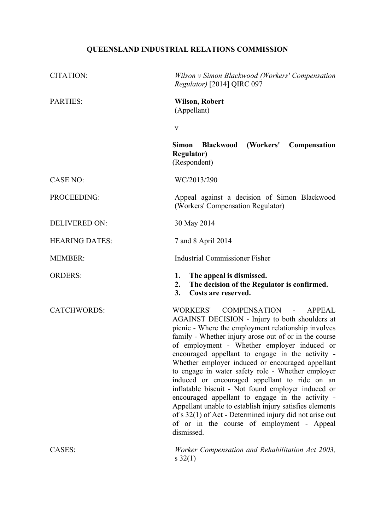# **QUEENSLAND INDUSTRIAL RELATIONS COMMISSION**

| <b>CITATION:</b>      | Wilson v Simon Blackwood (Workers' Compensation<br>Regulator) [2014] QIRC 097                                                                                                                                                                                                                                                                                                                                                                                                                                                                                                                                                                                                                                                                                                                        |
|-----------------------|------------------------------------------------------------------------------------------------------------------------------------------------------------------------------------------------------------------------------------------------------------------------------------------------------------------------------------------------------------------------------------------------------------------------------------------------------------------------------------------------------------------------------------------------------------------------------------------------------------------------------------------------------------------------------------------------------------------------------------------------------------------------------------------------------|
| <b>PARTIES:</b>       | <b>Wilson, Robert</b><br>(Appellant)                                                                                                                                                                                                                                                                                                                                                                                                                                                                                                                                                                                                                                                                                                                                                                 |
|                       | $\mathbf{V}$                                                                                                                                                                                                                                                                                                                                                                                                                                                                                                                                                                                                                                                                                                                                                                                         |
|                       | <b>Simon</b><br><b>Blackwood</b><br>(Workers'<br><b>Compensation</b><br><b>Regulator)</b><br>(Respondent)                                                                                                                                                                                                                                                                                                                                                                                                                                                                                                                                                                                                                                                                                            |
| <b>CASE NO:</b>       | WC/2013/290                                                                                                                                                                                                                                                                                                                                                                                                                                                                                                                                                                                                                                                                                                                                                                                          |
| PROCEEDING:           | Appeal against a decision of Simon Blackwood<br>(Workers' Compensation Regulator)                                                                                                                                                                                                                                                                                                                                                                                                                                                                                                                                                                                                                                                                                                                    |
| <b>DELIVERED ON:</b>  | 30 May 2014                                                                                                                                                                                                                                                                                                                                                                                                                                                                                                                                                                                                                                                                                                                                                                                          |
| <b>HEARING DATES:</b> | 7 and 8 April 2014                                                                                                                                                                                                                                                                                                                                                                                                                                                                                                                                                                                                                                                                                                                                                                                   |
| <b>MEMBER:</b>        | <b>Industrial Commissioner Fisher</b>                                                                                                                                                                                                                                                                                                                                                                                                                                                                                                                                                                                                                                                                                                                                                                |
|                       |                                                                                                                                                                                                                                                                                                                                                                                                                                                                                                                                                                                                                                                                                                                                                                                                      |
| <b>ORDERS:</b>        | The appeal is dismissed.<br>1.<br>2.<br>The decision of the Regulator is confirmed.<br>Costs are reserved.<br>3.                                                                                                                                                                                                                                                                                                                                                                                                                                                                                                                                                                                                                                                                                     |
| <b>CATCHWORDS:</b>    | <b>WORKERS'</b><br><b>COMPENSATION</b><br>$\overline{a}$<br><b>APPEAL</b><br>AGAINST DECISION - Injury to both shoulders at<br>picnic - Where the employment relationship involves<br>family - Whether injury arose out of or in the course<br>of employment - Whether employer induced or<br>encouraged appellant to engage in the activity -<br>Whether employer induced or encouraged appellant<br>to engage in water safety role - Whether employer<br>induced or encouraged appellant to ride on an<br>inflatable biscuit - Not found employer induced or<br>encouraged appellant to engage in the activity -<br>Appellant unable to establish injury satisfies elements<br>of s 32(1) of Act - Determined injury did not arise out<br>of or in the course of employment - Appeal<br>dismissed. |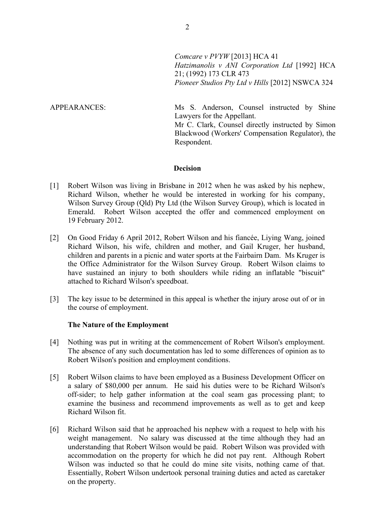*Comcare v PVYW* [2013] HCA 41 *Hatzimanolis v ANI Corporation Ltd* [1992] HCA 21; (1992) 173 CLR 473 *Pioneer Studios Pty Ltd v Hills* [2012] NSWCA 324

APPEARANCES: Ms S. Anderson, Counsel instructed by Shine Lawyers for the Appellant.

Mr C. Clark, Counsel directly instructed by Simon Blackwood (Workers' Compensation Regulator), the Respondent.

### **Decision**

- [1] Robert Wilson was living in Brisbane in 2012 when he was asked by his nephew, Richard Wilson, whether he would be interested in working for his company, Wilson Survey Group (Qld) Pty Ltd (the Wilson Survey Group), which is located in Emerald. Robert Wilson accepted the offer and commenced employment on 19 February 2012.
- [2] On Good Friday 6 April 2012, Robert Wilson and his fiancée, Liying Wang, joined Richard Wilson, his wife, children and mother, and Gail Kruger, her husband, children and parents in a picnic and water sports at the Fairbairn Dam. Ms Kruger is the Office Administrator for the Wilson Survey Group. Robert Wilson claims to have sustained an injury to both shoulders while riding an inflatable "biscuit" attached to Richard Wilson's speedboat.
- [3] The key issue to be determined in this appeal is whether the injury arose out of or in the course of employment.

### **The Nature of the Employment**

- [4] Nothing was put in writing at the commencement of Robert Wilson's employment. The absence of any such documentation has led to some differences of opinion as to Robert Wilson's position and employment conditions.
- [5] Robert Wilson claims to have been employed as a Business Development Officer on a salary of \$80,000 per annum. He said his duties were to be Richard Wilson's off-sider; to help gather information at the coal seam gas processing plant; to examine the business and recommend improvements as well as to get and keep Richard Wilson fit.
- [6] Richard Wilson said that he approached his nephew with a request to help with his weight management. No salary was discussed at the time although they had an understanding that Robert Wilson would be paid. Robert Wilson was provided with accommodation on the property for which he did not pay rent. Although Robert Wilson was inducted so that he could do mine site visits, nothing came of that. Essentially, Robert Wilson undertook personal training duties and acted as caretaker on the property.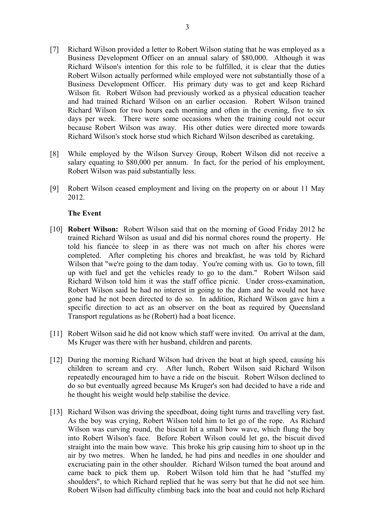- [7] Richard Wilson provided a letter to Robert Wilson stating that he was employed as a Business Development Officer on an annual salary of \$80,000. Although it was Richard Wilson's intention for this role to be fulfilled, it is clear that the duties Robert Wilson actually performed while employed were not substantially those of a Business Development Officer. His primary duty was to get and keep Richard Wilson fit. Robert Wilson had previously worked as a physical education teacher and had trained Richard Wilson on an earlier occasion. Robert Wilson trained Richard Wilson for two hours each morning and often in the evening, five to six days per week. There were some occasions when the training could not occur because Robert Wilson was away. His other duties were directed more towards Richard Wilson's stock horse stud which Richard Wilson described as caretaking.
- [8] While employed by the Wilson Survey Group, Robert Wilson did not receive a salary equating to \$80,000 per annum. In fact, for the period of his employment, Robert Wilson was paid substantially less.
- [9] Robert Wilson ceased employment and living on the property on or about 11 May 2012.

## **The Event**

- [10] **Robert Wilson:** Robert Wilson said that on the morning of Good Friday 2012 he trained Richard Wilson as usual and did his normal chores round the property. He told his fiancée to sleep in as there was not much on after his chores were completed. After completing his chores and breakfast, he was told by Richard Wilson that "we're going to the dam today. You're coming with us. Go to town, fill up with fuel and get the vehicles ready to go to the dam." Robert Wilson said Richard Wilson told him it was the staff office picnic. Under cross-examination, Robert Wilson said he had no interest in going to the dam and he would not have gone had he not been directed to do so. In addition, Richard Wilson gave him a specific direction to act as an observer on the boat as required by Queensland Transport regulations as he (Robert) had a boat licence.
- [11] Robert Wilson said he did not know which staff were invited. On arrival at the dam, Ms Kruger was there with her husband, children and parents.
- [12] During the morning Richard Wilson had driven the boat at high speed, causing his children to scream and cry. After lunch, Robert Wilson said Richard Wilson repeatedly encouraged him to have a ride on the biscuit. Robert Wilson declined to do so but eventually agreed because Ms Kruger's son had decided to have a ride and he thought his weight would help stabilise the device.
- [13] Richard Wilson was driving the speedboat, doing tight turns and travelling very fast. As the boy was crying, Robert Wilson told him to let go of the rope. As Richard Wilson was curving round, the biscuit hit a small bow wave, which flung the boy into Robert Wilson's face. Before Robert Wilson could let go, the biscuit dived straight into the main bow wave. This broke his grip causing him to shoot up in the air by two metres. When he landed, he had pins and needles in one shoulder and excruciating pain in the other shoulder. Richard Wilson turned the boat around and came back to pick them up. Robert Wilson told him that he had "stuffed my shoulders", to which Richard replied that he was sorry but that he did not see him. Robert Wilson had difficulty climbing back into the boat and could not help Richard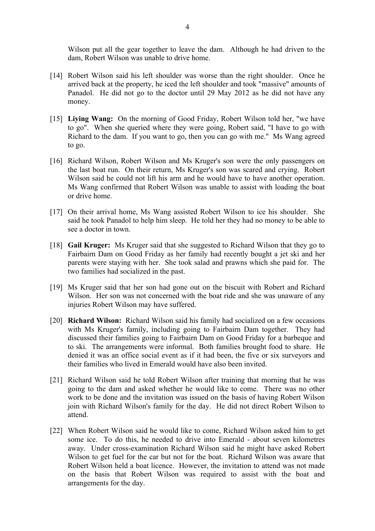Wilson put all the gear together to leave the dam. Although he had driven to the dam, Robert Wilson was unable to drive home.

- [14] Robert Wilson said his left shoulder was worse than the right shoulder. Once he arrived back at the property, he iced the left shoulder and took "massive" amounts of Panadol. He did not go to the doctor until 29 May 2012 as he did not have any money.
- [15] **Liying Wang:** On the morning of Good Friday, Robert Wilson told her, "we have to go". When she queried where they were going, Robert said, "I have to go with Richard to the dam. If you want to go, then you can go with me." Ms Wang agreed to go.
- [16] Richard Wilson, Robert Wilson and Ms Kruger's son were the only passengers on the last boat run. On their return, Ms Kruger's son was scared and crying. Robert Wilson said he could not lift his arm and he would have to have another operation. Ms Wang confirmed that Robert Wilson was unable to assist with loading the boat or drive home.
- [17] On their arrival home, Ms Wang assisted Robert Wilson to ice his shoulder. She said he took Panadol to help him sleep. He told her they had no money to be able to see a doctor in town.
- [18] **Gail Kruger:** Ms Kruger said that she suggested to Richard Wilson that they go to Fairbairn Dam on Good Friday as her family had recently bought a jet ski and her parents were staying with her. She took salad and prawns which she paid for. The two families had socialized in the past.
- [19] Ms Kruger said that her son had gone out on the biscuit with Robert and Richard Wilson. Her son was not concerned with the boat ride and she was unaware of any injuries Robert Wilson may have suffered.
- [20] **Richard Wilson:** Richard Wilson said his family had socialized on a few occasions with Ms Kruger's family, including going to Fairbairn Dam together. They had discussed their families going to Fairbairn Dam on Good Friday for a barbeque and to ski. The arrangements were informal. Both families brought food to share. He denied it was an office social event as if it had been, the five or six surveyors and their families who lived in Emerald would have also been invited.
- [21] Richard Wilson said he told Robert Wilson after training that morning that he was going to the dam and asked whether he would like to come. There was no other work to be done and the invitation was issued on the basis of having Robert Wilson join with Richard Wilson's family for the day. He did not direct Robert Wilson to attend.
- [22] When Robert Wilson said he would like to come, Richard Wilson asked him to get some ice. To do this, he needed to drive into Emerald - about seven kilometres away. Under cross-examination Richard Wilson said he might have asked Robert Wilson to get fuel for the car but not for the boat. Richard Wilson was aware that Robert Wilson held a boat licence. However, the invitation to attend was not made on the basis that Robert Wilson was required to assist with the boat and arrangements for the day.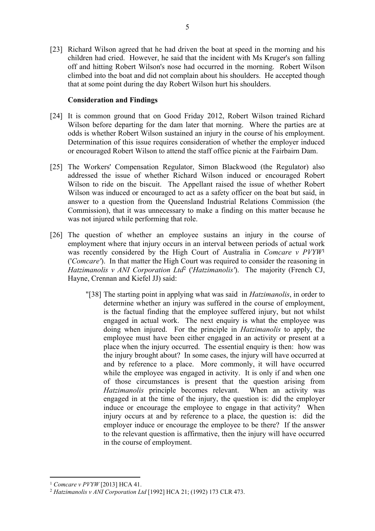[23] Richard Wilson agreed that he had driven the boat at speed in the morning and his children had cried. However, he said that the incident with Ms Kruger's son falling off and hitting Robert Wilson's nose had occurred in the morning. Robert Wilson climbed into the boat and did not complain about his shoulders. He accepted though that at some point during the day Robert Wilson hurt his shoulders.

# **Consideration and Findings**

- [24] It is common ground that on Good Friday 2012, Robert Wilson trained Richard Wilson before departing for the dam later that morning. Where the parties are at odds is whether Robert Wilson sustained an injury in the course of his employment. Determination of this issue requires consideration of whether the employer induced or encouraged Robert Wilson to attend the staff office picnic at the Fairbairn Dam.
- [25] The Workers' Compensation Regulator, Simon Blackwood (the Regulator) also addressed the issue of whether Richard Wilson induced or encouraged Robert Wilson to ride on the biscuit. The Appellant raised the issue of whether Robert Wilson was induced or encouraged to act as a safety officer on the boat but said, in answer to a question from the Queensland Industrial Relations Commission (the Commission), that it was unnecessary to make a finding on this matter because he was not injured while performing that role.
- [26] The question of whether an employee sustains an injury in the course of employment where that injury occurs in an interval between periods of actual work was recently considered by the High Court of Australia in *Comcare v PVYW*<sup>1</sup> ('*Comcare'*). In that matter the High Court was required to consider the reasoning in *Hatzimanolis v ANI Corporation Ltd*<sup>2</sup> ('*Hatzimanolis'*).The majority (French CJ, Hayne, Crennan and Kiefel JJ) said:
	- "[38] The starting point in applying what was said in *Hatzimanolis*, in order to determine whether an injury was suffered in the course of employment, is the factual finding that the employee suffered injury, but not whilst engaged in actual work. The next enquiry is what the employee was doing when injured. For the principle in *Hatzimanolis* to apply, the employee must have been either engaged in an activity or present at a place when the injury occurred. The essential enquiry is then: how was the injury brought about? In some cases, the injury will have occurred at and by reference to a place. More commonly, it will have occurred while the employee was engaged in activity. It is only if and when one of those circumstances is present that the question arising from *Hatzimanolis* principle becomes relevant. When an activity was engaged in at the time of the injury, the question is: did the employer induce or encourage the employee to engage in that activity? When injury occurs at and by reference to a place, the question is: did the employer induce or encourage the employee to be there? If the answer to the relevant question is affirmative, then the injury will have occurred in the course of employment.

<sup>1</sup> *Comcare v PVYW* [2013] HCA 41.

<sup>2</sup> *Hatzimanolis v ANI Corporation Ltd* [1992] HCA 21; (1992) 173 CLR 473.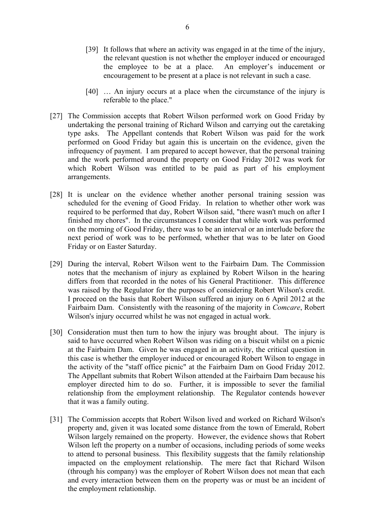- [39] It follows that where an activity was engaged in at the time of the injury, the relevant question is not whether the employer induced or encouraged the employee to be at a place. An employer's inducement or encouragement to be present at a place is not relevant in such a case.
- [40] … An injury occurs at a place when the circumstance of the injury is referable to the place."
- [27] The Commission accepts that Robert Wilson performed work on Good Friday by undertaking the personal training of Richard Wilson and carrying out the caretaking type asks. The Appellant contends that Robert Wilson was paid for the work performed on Good Friday but again this is uncertain on the evidence, given the infrequency of payment. I am prepared to accept however, that the personal training and the work performed around the property on Good Friday 2012 was work for which Robert Wilson was entitled to be paid as part of his employment arrangements.
- [28] It is unclear on the evidence whether another personal training session was scheduled for the evening of Good Friday. In relation to whether other work was required to be performed that day, Robert Wilson said, "there wasn't much on after I finished my chores". In the circumstances I consider that while work was performed on the morning of Good Friday, there was to be an interval or an interlude before the next period of work was to be performed, whether that was to be later on Good Friday or on Easter Saturday.
- [29] During the interval, Robert Wilson went to the Fairbairn Dam. The Commission notes that the mechanism of injury as explained by Robert Wilson in the hearing differs from that recorded in the notes of his General Practitioner. This difference was raised by the Regulator for the purposes of considering Robert Wilson's credit. I proceed on the basis that Robert Wilson suffered an injury on 6 April 2012 at the Fairbairn Dam. Consistently with the reasoning of the majority in *Comcare*, Robert Wilson's injury occurred whilst he was not engaged in actual work.
- [30] Consideration must then turn to how the injury was brought about. The injury is said to have occurred when Robert Wilson was riding on a biscuit whilst on a picnic at the Fairbairn Dam. Given he was engaged in an activity, the critical question in this case is whether the employer induced or encouraged Robert Wilson to engage in the activity of the "staff office picnic" at the Fairbairn Dam on Good Friday 2012. The Appellant submits that Robert Wilson attended at the Fairbairn Dam because his employer directed him to do so. Further, it is impossible to sever the familial relationship from the employment relationship. The Regulator contends however that it was a family outing.
- [31] The Commission accepts that Robert Wilson lived and worked on Richard Wilson's property and, given it was located some distance from the town of Emerald, Robert Wilson largely remained on the property. However, the evidence shows that Robert Wilson left the property on a number of occasions, including periods of some weeks to attend to personal business. This flexibility suggests that the family relationship impacted on the employment relationship. The mere fact that Richard Wilson (through his company) was the employer of Robert Wilson does not mean that each and every interaction between them on the property was or must be an incident of the employment relationship.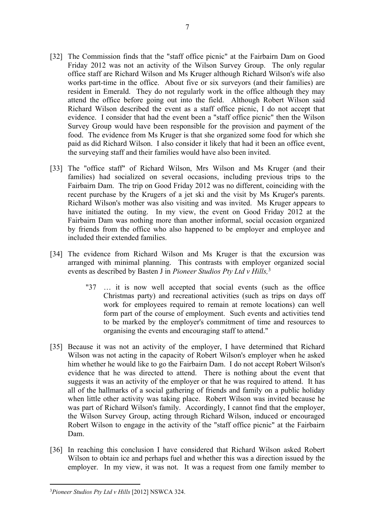- [32] The Commission finds that the "staff office picnic" at the Fairbairn Dam on Good Friday 2012 was not an activity of the Wilson Survey Group. The only regular office staff are Richard Wilson and Ms Kruger although Richard Wilson's wife also works part-time in the office. About five or six surveyors (and their families) are resident in Emerald. They do not regularly work in the office although they may attend the office before going out into the field. Although Robert Wilson said Richard Wilson described the event as a staff office picnic, I do not accept that evidence. I consider that had the event been a "staff office picnic" then the Wilson Survey Group would have been responsible for the provision and payment of the food. The evidence from Ms Kruger is that she organized some food for which she paid as did Richard Wilson. I also consider it likely that had it been an office event, the surveying staff and their families would have also been invited.
- [33] The "office staff" of Richard Wilson, Mrs Wilson and Ms Kruger (and their families) had socialized on several occasions, including previous trips to the Fairbairn Dam. The trip on Good Friday 2012 was no different, coinciding with the recent purchase by the Krugers of a jet ski and the visit by Ms Kruger's parents. Richard Wilson's mother was also visiting and was invited. Ms Kruger appears to have initiated the outing. In my view, the event on Good Friday 2012 at the Fairbairn Dam was nothing more than another informal, social occasion organized by friends from the office who also happened to be employer and employee and included their extended families.
- [34] The evidence from Richard Wilson and Ms Kruger is that the excursion was arranged with minimal planning. This contrasts with employer organized social events as described by Basten J in *Pioneer Studios Pty Ltd v Hills,*<sup>3</sup>
	- "37 … it is now well accepted that social events (such as the office Christmas party) and recreational activities (such as trips on days off work for employees required to remain at remote locations) can well form part of the course of employment. Such events and activities tend to be marked by the employer's commitment of time and resources to organising the events and encouraging staff to attend."
- [35] Because it was not an activity of the employer, I have determined that Richard Wilson was not acting in the capacity of Robert Wilson's employer when he asked him whether he would like to go the Fairbairn Dam. I do not accept Robert Wilson's evidence that he was directed to attend. There is nothing about the event that suggests it was an activity of the employer or that he was required to attend. It has all of the hallmarks of a social gathering of friends and family on a public holiday when little other activity was taking place. Robert Wilson was invited because he was part of Richard Wilson's family. Accordingly, I cannot find that the employer, the Wilson Survey Group, acting through Richard Wilson, induced or encouraged Robert Wilson to engage in the activity of the "staff office picnic" at the Fairbairn Dam.
- [36] In reaching this conclusion I have considered that Richard Wilson asked Robert Wilson to obtain ice and perhaps fuel and whether this was a direction issued by the employer. In my view, it was not. It was a request from one family member to

<sup>3</sup>*Pioneer Studios Pty Ltd v Hills* [2012] NSWCA 324.